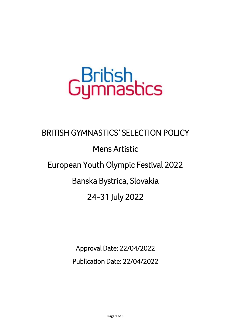## GBritish<br>Gymnastics

## BRITISH GYMNASTICS' SELECTION POLICY Mens Artistic European Youth Olympic Festival 2022 Banska Bystrica, Slovakia 24-31 July 2022

Approval Date: 22/04/2022

Publication Date: 22/04/2022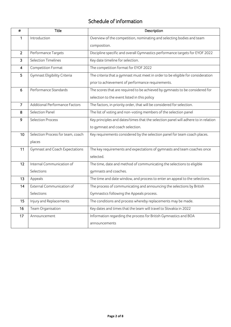## Schedule of information

| #              | <b>Title</b>                          | Description                                                                        |  |  |
|----------------|---------------------------------------|------------------------------------------------------------------------------------|--|--|
| 1              | Introduction                          | Overview of the competition, nominating and selecting bodies and team              |  |  |
|                |                                       | composition.                                                                       |  |  |
| $\overline{2}$ | Performance Targets                   | Discipline specific and overall Gymnastics performance targets for EYOF 2022       |  |  |
| 3              | <b>Selection Timelines</b>            | Key date timeline for selection.                                                   |  |  |
| $\overline{4}$ | Competition Format                    | The competition format for EYOF 2022                                               |  |  |
| 5              | Gymnast Eligibility Criteria          | The criteria that a gymnast must meet in order to be eligible for consideration    |  |  |
|                |                                       | prior to achievement of performance requirements.                                  |  |  |
| 6              | Performance Standards                 | The scores that are required to be achieved by gymnasts to be considered for       |  |  |
|                |                                       | selection to the event listed in this policy                                       |  |  |
| $\overline{7}$ | Additional Performance Factors        | The factors, in priority order, that will be considered for selection.             |  |  |
| 8              | Selection Panel                       | The list of voting and non-voting members of the selection panel                   |  |  |
| 9              | <b>Selection Process</b>              | Key principles and dates/times that the selection panel will adhere to in relation |  |  |
|                |                                       | to gymnast and coach selection.                                                    |  |  |
| 10             | Selection Process for team, coach     | Key requirements considered by the selection panel for team coach places.          |  |  |
|                | places                                |                                                                                    |  |  |
| 11             | <b>Gymnast and Coach Expectations</b> | The key requirements and expectations of gymnasts and team coaches once            |  |  |
|                |                                       | selected.                                                                          |  |  |
| 12             | Internal Communication of             | The time, date and method of communicating the selections to eligible              |  |  |
|                | Selections                            | gymnasts and coaches.                                                              |  |  |
| 13             | Appeals                               | The time and date window, and process to enter an appeal to the selections.        |  |  |
| 14             | External Communication of             | The process of communicating and announcing the selections by British              |  |  |
|                | Selections                            | Gymnastics following the Appeals process.                                          |  |  |
| 15             | Injury and Replacements               | The conditions and process whereby replacements may be made.                       |  |  |
| 16             | Team Organisation                     | Key dates and times that the team will travel to Slovakia in 2022                  |  |  |
| 17             | Announcement                          | Information regarding the process for British Gymnastics and BOA                   |  |  |
|                |                                       | announcements                                                                      |  |  |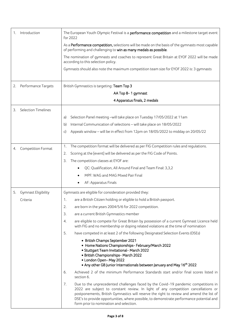| 1. | Introduction               | The European Youth Olympic Festival is a performance competition and a milestone target event<br>for 2022                                                                                                                                                                                                                                                                                                        |
|----|----------------------------|------------------------------------------------------------------------------------------------------------------------------------------------------------------------------------------------------------------------------------------------------------------------------------------------------------------------------------------------------------------------------------------------------------------|
|    |                            | As a Performance competition, selections will be made on the basis of the gymnasts most capable<br>of performing and challenging to win as many medals as possible.                                                                                                                                                                                                                                              |
|    |                            | The nomination of gymnasts and coaches to represent Great Britain at EYOF 2022 will be made<br>according to this selection policy.                                                                                                                                                                                                                                                                               |
|    |                            | Gymnasts should also note the maximum competition team size for EYOF 2022 is: 3 gymnasts                                                                                                                                                                                                                                                                                                                         |
| 2. | Performance Targets        | British Gymnastics is targeting: Team Top 3                                                                                                                                                                                                                                                                                                                                                                      |
|    |                            | AA Top 8-1 gymnast                                                                                                                                                                                                                                                                                                                                                                                               |
|    |                            | 4 Apparatus finals, 2 medals                                                                                                                                                                                                                                                                                                                                                                                     |
| 3. | <b>Selection Timelines</b> |                                                                                                                                                                                                                                                                                                                                                                                                                  |
|    |                            | Selection Panel meeting -will take place on Tuesday 17/05/2022 at 11am<br>a)                                                                                                                                                                                                                                                                                                                                     |
|    |                            | Internal Communication of selections - will take place on 18/05/2022<br>b)                                                                                                                                                                                                                                                                                                                                       |
|    |                            | Appeals window - will be in effect from 12pm on 18/05/2022 to midday on 20/05/22<br>C)                                                                                                                                                                                                                                                                                                                           |
|    |                            |                                                                                                                                                                                                                                                                                                                                                                                                                  |
| 4. | Competition Format         | The competition format will be delivered as per FIG Competition rules and regulations.<br>1.                                                                                                                                                                                                                                                                                                                     |
|    |                            | Scoring at the [event] will be delivered as per the FIG Code of Points.<br>2.                                                                                                                                                                                                                                                                                                                                    |
|    |                            | The competition classes at EYOF are:<br>3.                                                                                                                                                                                                                                                                                                                                                                       |
|    |                            | QC: Qualification, All Around Final and Team Final: 3,3,2                                                                                                                                                                                                                                                                                                                                                        |
|    |                            | MPF: WAG and MAG Mixed Pair Final                                                                                                                                                                                                                                                                                                                                                                                |
|    |                            | AF: Apparatus Finals                                                                                                                                                                                                                                                                                                                                                                                             |
| 5. | Gymnast Eligibility        | Gymnasts are eligible for consideration provided they:                                                                                                                                                                                                                                                                                                                                                           |
|    | Criteria                   | are a British Citizen holding or eligible to hold a British passport.<br>1.                                                                                                                                                                                                                                                                                                                                      |
|    |                            | 2.<br>are born in the years 2004/5/6 for 2022 competition.                                                                                                                                                                                                                                                                                                                                                       |
|    |                            | 3.<br>are a current British Gymnastics member                                                                                                                                                                                                                                                                                                                                                                    |
|    |                            | are eligible to compete for Great Britain by possession of a current Gymnast Licence held<br>4.<br>with FIG and no membership or doping related violations at the time of nomination                                                                                                                                                                                                                             |
|    |                            | 5.<br>have competed in at least 2 of the following Designated Selection Events (DSEs)                                                                                                                                                                                                                                                                                                                            |
|    |                            | • British Champs September 2021<br>• Home Nations Championships-February/March 2022<br>· Stuttgart Team Invitational- March 2022<br>· British Championships- March 2022<br>• London Open-May 2022<br>• Any other GB Junior Internationals between January and May 16 <sup>th</sup> 2022                                                                                                                          |
|    |                            | Achieved 2 of the minimum Performance Standards start and/or final scores listed in<br>6.<br>section 6.                                                                                                                                                                                                                                                                                                          |
|    |                            | 7.<br>Due to the unprecedented challenges faced by the Covid-19 pandemic competitions in<br>2022 are subject to constant review. In light of any competition cancellations or<br>postponements, British Gymnastics will reserve the right to review and amend the list of<br>DSE's to provide opportunities, where possible, to demonstrate performance potential and<br>form prior to nomination and selection. |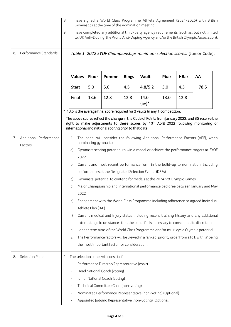|    |                        | have signed a World Class Programme Athlete Agreement (2021-2025) with British<br>8.<br>Gymnastics at the time of the nomination meeting. |                          |                      |                                                        |              |                                                                               |      |             |                                                                                                                                                                                                     |
|----|------------------------|-------------------------------------------------------------------------------------------------------------------------------------------|--------------------------|----------------------|--------------------------------------------------------|--------------|-------------------------------------------------------------------------------|------|-------------|-----------------------------------------------------------------------------------------------------------------------------------------------------------------------------------------------------|
|    |                        | 9.                                                                                                                                        |                          |                      |                                                        |              |                                                                               |      |             | have completed any additional third-party agency requirements (such as, but not limited<br>to, UK Anti-Doping, the World Anti-Doping Agency and/or the British Olympic Association).                |
| 6. | Performance Standards  |                                                                                                                                           |                          |                      |                                                        |              |                                                                               |      |             | Table 1. 2022 EYOF Championships minimum selection scores. (Junior Code).                                                                                                                           |
|    |                        |                                                                                                                                           | <b>Values</b>            | Floor                | Pommel                                                 | <b>Rings</b> | Vault                                                                         | Pbar | <b>HBar</b> | AA                                                                                                                                                                                                  |
|    |                        |                                                                                                                                           | Start                    | 5.0                  | 5.0                                                    | 4.5          | 4.8/5.2                                                                       | 5.0  | 4.5         | 78.5                                                                                                                                                                                                |
|    |                        |                                                                                                                                           | Final                    | 13.6                 | 12.8                                                   | 12.8         | 14.0<br>$(av)*$                                                               | 13.0 | 12.8        |                                                                                                                                                                                                     |
|    |                        |                                                                                                                                           |                          |                      |                                                        |              | * 13.5 is the average final score required for 2 vaults in any 1 competition. |      |             |                                                                                                                                                                                                     |
|    |                        |                                                                                                                                           |                          |                      | international and national scoring prior to that date. |              |                                                                               |      |             | The above scores reflect the change in the Code of Points from January 2022, and BG reserve the<br>right to make adjustments to these scores by 10 <sup>th</sup> April 2022 following monitoring of |
| 7. | Additional Performance |                                                                                                                                           | 1.                       | nominating gymnasts: |                                                        |              |                                                                               |      |             | The panel will consider the following Additional Performance Factors (APF), when                                                                                                                    |
|    | Factors                |                                                                                                                                           | a)                       |                      |                                                        |              |                                                                               |      |             | Gymnasts scoring potential to win a medal or achieve the performance targets at EYOF                                                                                                                |
|    |                        |                                                                                                                                           | 2022                     |                      |                                                        |              |                                                                               |      |             |                                                                                                                                                                                                     |
|    |                        |                                                                                                                                           | b)                       |                      |                                                        |              |                                                                               |      |             | Current and most recent performance form in the build-up to nomination, including                                                                                                                   |
|    |                        |                                                                                                                                           |                          |                      |                                                        |              | performances at the Designated Selection Events (DSEs)                        |      |             |                                                                                                                                                                                                     |
|    |                        |                                                                                                                                           | C)                       |                      |                                                        |              | Gymnasts' potential to contend for medals at the 2024/28 Olympic Games        |      |             |                                                                                                                                                                                                     |
|    |                        |                                                                                                                                           | d)<br>2022               |                      |                                                        |              |                                                                               |      |             | Major Championship and International performance pedigree between January and May                                                                                                                   |
|    |                        |                                                                                                                                           | e)                       | Athlete Plan (IAP)   |                                                        |              |                                                                               |      |             | Engagement with the World Class Programme including adherence to agreed Individual                                                                                                                  |
|    |                        |                                                                                                                                           | F)                       |                      |                                                        |              |                                                                               |      |             | Current medical and injury status including recent training history and any additional                                                                                                              |
|    |                        |                                                                                                                                           |                          |                      |                                                        |              |                                                                               |      |             | extenuating circumstances that the panel feels necessary to consider at its discretion                                                                                                              |
|    |                        |                                                                                                                                           | g)                       |                      |                                                        |              |                                                                               |      |             | Longer term aims of the World Class Programme and/or multi cycle Olympic potential                                                                                                                  |
|    |                        |                                                                                                                                           | 2.                       |                      |                                                        |              |                                                                               |      |             | The Performance factors will be viewed in a ranked, priority order from a to f, with 'a' being                                                                                                      |
|    |                        |                                                                                                                                           |                          |                      | the most important factor for consideration.           |              |                                                                               |      |             |                                                                                                                                                                                                     |
| 8. | Selection Panel        | 1.                                                                                                                                        |                          |                      | The selection panel will consist of:                   |              |                                                                               |      |             |                                                                                                                                                                                                     |
|    |                        |                                                                                                                                           |                          |                      | Performance Director/Representative (chair)            |              |                                                                               |      |             |                                                                                                                                                                                                     |
|    |                        |                                                                                                                                           | $\overline{\phantom{0}}$ |                      | Head National Coach (voting)                           |              |                                                                               |      |             |                                                                                                                                                                                                     |
|    |                        |                                                                                                                                           |                          |                      | Junior National Coach (voting)                         |              |                                                                               |      |             |                                                                                                                                                                                                     |
|    |                        |                                                                                                                                           |                          |                      | Technical Committee Chair (non-voting)                 |              |                                                                               |      |             |                                                                                                                                                                                                     |
|    |                        |                                                                                                                                           |                          |                      |                                                        |              | Nominated Performance Representative (non-voting) (Optional)                  |      |             |                                                                                                                                                                                                     |
|    |                        |                                                                                                                                           |                          |                      |                                                        |              | Appointed Judging Representative (non-voting) (Optional)                      |      |             |                                                                                                                                                                                                     |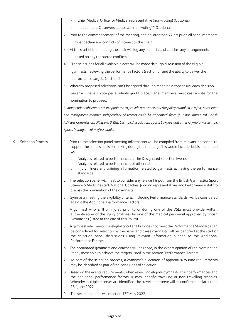|                                | Chief Medical Officer or Medical representative (non-voting) (Optional)                                                                                                                                                                                                                                                       |
|--------------------------------|-------------------------------------------------------------------------------------------------------------------------------------------------------------------------------------------------------------------------------------------------------------------------------------------------------------------------------|
|                                | Independent Observers (up to two, non-voting) <sup>*1</sup> (Optional)                                                                                                                                                                                                                                                        |
|                                | 2. Prior to the commencement of the meeting, and no later than 72 hrs prior, all panel members                                                                                                                                                                                                                                |
|                                | must declare any conflicts of interest to the chair.                                                                                                                                                                                                                                                                          |
|                                | 3. At the start of the meeting the chair will log any conflicts and confirm any arrangements                                                                                                                                                                                                                                  |
|                                | based on any registered conflicts.                                                                                                                                                                                                                                                                                            |
|                                | The selections for all available places will be made through discussion of the eligible<br>4.                                                                                                                                                                                                                                 |
|                                | gymnasts, reviewing the performance factors (section 6), and the ability to deliver the                                                                                                                                                                                                                                       |
|                                | performance targets (section 2).                                                                                                                                                                                                                                                                                              |
|                                | 5. Whereby proposed selections can't be agreed through reaching a consensus, each decision                                                                                                                                                                                                                                    |
|                                | maker will have 1 vote per available quota place. Panel members must cast a vote for the                                                                                                                                                                                                                                      |
|                                | nomination to proceed.                                                                                                                                                                                                                                                                                                        |
|                                | *1 Independent observers are in appointed to provide assurance that the policy is applied in a fair, consistent                                                                                                                                                                                                               |
|                                | and transparent manner. Independent observers could be appointed from (but not limited to) British                                                                                                                                                                                                                            |
|                                | Athletes Commission, UK Sport, British Olympic Association, Sports Lawyers and other Olympic/Paralympic                                                                                                                                                                                                                       |
|                                | Sports Management professionals.                                                                                                                                                                                                                                                                                              |
|                                |                                                                                                                                                                                                                                                                                                                               |
| <b>Selection Process</b><br>9. | Prior to the selection panel meeting information will be compiled from relevant personnel to<br>1.<br>support the panel's decision making during the meeting. This would include, but is not limited<br>to:                                                                                                                   |
|                                | Analytics related to performances at the Designated Selection Events<br>a)<br>Analytics related to performances of other nations<br>b)<br>Injury, Illness and training information related to gymnasts achieving the performance<br>c)<br>standards                                                                           |
|                                | The selection panel will meet to consider any relevant input from the British Gymnastics Sport<br>2.<br>Science & Medicine staff, National Coaches, Judging representatives and Performance staff to<br>discuss the nomination of the gymnasts.                                                                               |
|                                | 3. Gymnasts meeting the eligibility criteria, including Performance Standards, will be considered<br>against the Additional Performance Factors.                                                                                                                                                                              |
|                                | 4. A gymnast who is ill or injured prior to or during one of the DSEs must provide written<br>authentication of the injury or illness by one of the medical personnel approved by British<br>Gymnastics (listed at the end of this Policy).                                                                                   |
|                                | 5. A gymnast who meets the eligibility criteria but does not meet the Performance Standards can<br>be considered for selection by the panel and these gymnasts will be identified at the start of<br>the selection panel discussions using relevant information aligned to the Additional<br>Performance Factors.             |
|                                | 6. The nominated gymnasts and coaches will be those, in the expert opinion of the Nomination<br>Panel, most able to achieve the targets listed in the section 'Performance Targets'.                                                                                                                                          |
|                                | As part of the selection process, a gymnast's allocation of apparatus/routine requirements<br>7.<br>may be identified as part of the conditions of selection.                                                                                                                                                                 |
|                                | 8. Based on the events requirements, when reviewing eligible gymnasts, their performances and<br>the additional performance factors, it may identify travelling or non-travelling reserves.<br>Whereby multiple reserves are identified, the travelling reserve will be confirmed no later than<br>25 <sup>th</sup> June 2022 |
|                                | The selection panel will meet on 17 <sup>th</sup> May 2022.<br>9.                                                                                                                                                                                                                                                             |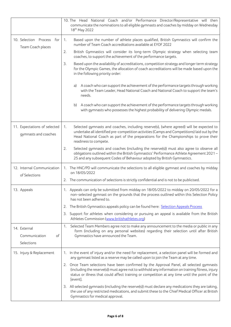|                                                      | 10. The Head National Coach and/or Performance Director/Representative will then<br>communicate the nominations to all eligible gymnasts and coaches by midday on Wednesday<br>18 <sup>th</sup> May 2022                                                                                                       |
|------------------------------------------------------|----------------------------------------------------------------------------------------------------------------------------------------------------------------------------------------------------------------------------------------------------------------------------------------------------------------|
| 10. Selection Process<br>for<br>Team Coach places    | Based upon the number of athlete places qualified, British Gymnastics will confirm the<br>1.<br>number of Team Coach accreditations available at EYOF 2022                                                                                                                                                     |
|                                                      | British Gymnastics will consider its long-term Olympic strategy when selecting team<br>2.<br>coaches, to support the achievement of the performance targets.                                                                                                                                                   |
|                                                      | Based upon the availability of accreditations, competition strategy and longer term strategy<br>3.<br>for the Olympic Games, the allocation of coach accreditations will be made based upon the<br>in the following priority order:                                                                            |
|                                                      | A coach who can support the achievement of the performance targets through working<br>a)<br>with the Team Leader, Head National Coach and National Coach to support the team's<br>needs.                                                                                                                       |
|                                                      | A coach who can support the achievement of the performance targets through working<br>b)<br>with gymnasts who possesses the highest probability of delivering Olympic medals.                                                                                                                                  |
| 11. Expectations of selected<br>gymnasts and coaches | Selected gymnasts and coaches, including reserve(s), (where agreed) will be expected to<br>1.<br>undertake all identified pre-competition activities (Camps and Competitions) laid out by the<br>Head National Coach as part of the preparations for the Championships to prove their<br>readiness to compete. |
|                                                      | Selected gymnasts and coaches (including the reserve(s)) must also agree to observe all<br>2.<br>obligations outlined within the British Gymnastics' Performance Athlete Agreement 2021-<br>25 and any subsequent Codes of Behaviour adopted by British Gymnastics.                                            |
| 12. Internal Communication<br>of Selections          | 1. The HNC/PD will communicate the selections to all eligible gymnast and coaches by midday<br>on 18/05/2022                                                                                                                                                                                                   |
|                                                      | 2. The communication of selections is strictly confidential and is not to be publicised.                                                                                                                                                                                                                       |
| 13. Appeals                                          | 1. Appeals can only be submitted from midday on 18/05/2022 to midday on 20/05/2022 for a<br>non-selected gymnast on the grounds that the process outlined within this Selection Policy<br>has not been adhered to.                                                                                             |
|                                                      | 2. The British Gymnastics appeals policy can be found here: Selection Appeals Process                                                                                                                                                                                                                          |
|                                                      | 3. Support for athletes when considering or pursuing an appeal is available from the British<br>Athletes Commission (www.britishathletes.org)                                                                                                                                                                  |
| 14. External                                         | Selected Team Members agree not to make any announcement to the media or public in any<br>1.<br>form (including on any personal websites) regarding their selection until after British                                                                                                                        |
| Communication<br>of<br>Selections                    | Gymnastics have announced the Team.                                                                                                                                                                                                                                                                            |
| 15. Injury & Replacement                             | 1. In the event of injury and/or the need for replacement, a selection panel will be formed and<br>any gymnast listed as a reserve may be called upon to join the Team at any time.                                                                                                                            |
|                                                      | 2. Once Team selections have been confirmed by the Approval Panel, all selected gymnasts<br>(including the reserve(s)) must agree not to withhold any information on training fitness, injury<br>status or illness that could affect training or competition at any time until the point of the<br>[event].    |
|                                                      | 3. All selected gymnasts (including the reserve(s)) must declare any medications they are taking,<br>the use of any restricted medications, and submit these to the Chief Medical Officer at British<br>Gymnastics for medical approval.                                                                       |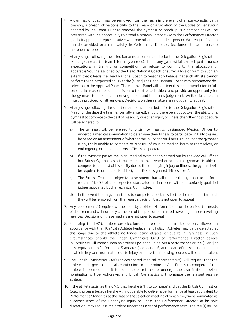|  | 4. A gymnast or coach may be removed from the Team in the event of a non-compliance in<br>training, a breach of responsibility to the Team or a violation of the Codes of Behaviour<br>adopted by the Team. Prior to removal, the gymnast or coach (plus a companion) will be<br>presented with the opportunity to attend a removal interview with the Performance Director<br>(or their appointed representative) with one other independent person. Written justification<br>must be provided for all removals by the Performance Director. Decisions on these matters are<br>not open to appeal.                                                                                                                                                                                                                                                                                                                                                                 |
|--|---------------------------------------------------------------------------------------------------------------------------------------------------------------------------------------------------------------------------------------------------------------------------------------------------------------------------------------------------------------------------------------------------------------------------------------------------------------------------------------------------------------------------------------------------------------------------------------------------------------------------------------------------------------------------------------------------------------------------------------------------------------------------------------------------------------------------------------------------------------------------------------------------------------------------------------------------------------------|
|  | 5. At any stage following the selection announcement and prior to the Delegation Registration<br>Meeting (the date the team is formally entered), should any gymnast fail to reach performance<br>expectations in training or competition, or refuse to commit to the allocation of<br>apparatus/routine assigned by the Head National Coach or suffer a loss of form to such an<br>extent that it leads the Head National Coach to reasonably believe that such athlete cannot<br>perform to their expected ability at the [event], the Head National Coach may recommend de-<br>selection to the Approval Panel. The Approval Panel will consider this recommendation in full,<br>set out the reasons for such decision to the affected athlete and provide an opportunity for<br>the gymnast to make a counter-argument, and then pass judgement. Written justification<br>must be provided for all removals. Decisions on these matters are not open to appeal. |
|  | 6. At any stage following the selection announcement but prior to the Delegation Registration<br>Meeting (the date the team is formally entered), should there be a doubt over the ability of a<br>gymnast to compete to the best of his ability due to an injury or illness, the following procedure<br>will be adhered to:                                                                                                                                                                                                                                                                                                                                                                                                                                                                                                                                                                                                                                        |
|  | The gymnast will be referred to British Gymnastics' designated Medical Officer to<br>a)<br>undergo a medical examination to determine their fitness to participate. Initially this will<br>be based on an assessment of whether the injury and/or illness is such that the gymnast<br>is physically unable to compete or is at risk of causing medical harm to themselves, or<br>endangering other competitors, officials or spectators.                                                                                                                                                                                                                                                                                                                                                                                                                                                                                                                            |
|  | If the gymnast passes the initial medical examination carried out by the Medical Officer<br>b)<br>but British Gymnastics still has concerns over whether or not the gymnast is able to<br>compete to the best of his ability due to the underlying injury or illness, the gymnast will<br>be required to undertake British Gymnastics' designated "Fitness Test".                                                                                                                                                                                                                                                                                                                                                                                                                                                                                                                                                                                                   |
|  | c)<br>The Fitness Test is an objective assessment that will require the gymnast to perform<br>routine(s) to 0.3 of their expected start value or final score with appropriately qualified<br>judges appointed by the Technical Committee.                                                                                                                                                                                                                                                                                                                                                                                                                                                                                                                                                                                                                                                                                                                           |
|  | In the event that a gymnast fails to complete the Fitness Test to the required standard,<br>d)<br>they will be removed from the Team, a decision that is not open to appeal.                                                                                                                                                                                                                                                                                                                                                                                                                                                                                                                                                                                                                                                                                                                                                                                        |
|  | 7. Any replacement(s) required will be made by the Head National Coach on the basis of the needs<br>of the Team and will normally come out of the pool of nominated travelling or non-travelling<br>reserves. Decisions on these matters are not open to appeal.                                                                                                                                                                                                                                                                                                                                                                                                                                                                                                                                                                                                                                                                                                    |
|  | 8. Following the DRM, athlete de-selections and replacements are to be only allowed in<br>accordance with the FIGs "Late Athlete Replacement Policy". Athletes may be de-selected at<br>this stage due to the athlete no-longer being eligible, or due to injury/illness. In such<br>circumstances, should the British Gymnastics CMO or Performance Director believe<br>injury/illness will impact upon an athlete's potential to deliver a performance at the [Event] at<br>least equivalent to Performance Standards (see section 6) at the date of the selection meeting<br>at which they were nominated due to injury or illness the following process will be undertaken:                                                                                                                                                                                                                                                                                     |
|  | 9. The British Gymnastics CMO (or designated medical representative), will request that the<br>athlete undergoes a medical examination to determine his/her fitness to compete. If the<br>athlete is deemed not fit to compete or refuses to undergo the examination, his/her<br>nomination will be withdrawn, and British Gymnastics will nominate the relevant reserve<br>athlete.                                                                                                                                                                                                                                                                                                                                                                                                                                                                                                                                                                                |
|  | 10. If the athlete satisfies the CMO that he/she is 'fit to compete' and yet the British Gymnastics<br>Coaching team believe he/she will not be able to deliver a performance at least equivalent to<br>Performance Standards at the date of the selection meeting at which they were nominated as<br>a consequence of the underlying injury or illness, the Performance Director, at his sole<br>discretion, may request the athlete undergoes a set of performance tests. The test(s) will be                                                                                                                                                                                                                                                                                                                                                                                                                                                                     |